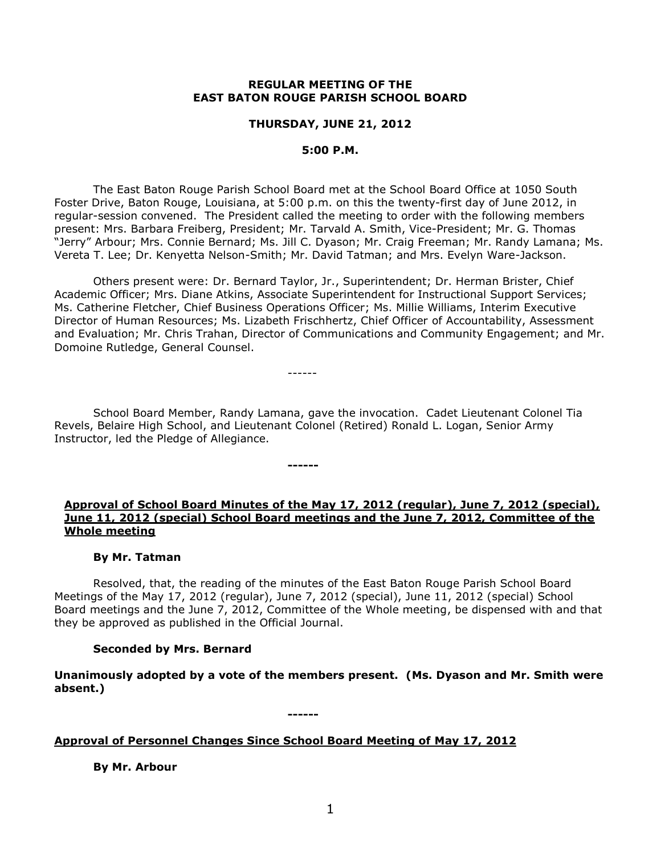#### **REGULAR MEETING OF THE EAST BATON ROUGE PARISH SCHOOL BOARD**

#### **THURSDAY, JUNE 21, 2012**

#### **5:00 P.M.**

The East Baton Rouge Parish School Board met at the School Board Office at 1050 South Foster Drive, Baton Rouge, Louisiana, at 5:00 p.m. on this the twenty-first day of June 2012, in regular-session convened. The President called the meeting to order with the following members present: Mrs. Barbara Freiberg, President; Mr. Tarvald A. Smith, Vice-President; Mr. G. Thomas "Jerry" Arbour; Mrs. Connie Bernard; Ms. Jill C. Dyason; Mr. Craig Freeman; Mr. Randy Lamana; Ms. Vereta T. Lee; Dr. Kenyetta Nelson-Smith; Mr. David Tatman; and Mrs. Evelyn Ware-Jackson.

Others present were: Dr. Bernard Taylor, Jr., Superintendent; Dr. Herman Brister, Chief Academic Officer; Mrs. Diane Atkins, Associate Superintendent for Instructional Support Services; Ms. Catherine Fletcher, Chief Business Operations Officer; Ms. Millie Williams, Interim Executive Director of Human Resources; Ms. Lizabeth Frischhertz, Chief Officer of Accountability, Assessment and Evaluation; Mr. Chris Trahan, Director of Communications and Community Engagement; and Mr. Domoine Rutledge, General Counsel.

------

**------**

School Board Member, Randy Lamana, gave the invocation. Cadet Lieutenant Colonel Tia Revels, Belaire High School, and Lieutenant Colonel (Retired) Ronald L. Logan, Senior Army Instructor, led the Pledge of Allegiance.

#### **Approval of School Board Minutes of the May 17, 2012 (regular), June 7, 2012 (special), June 11, 2012 (special) School Board meetings and the June 7, 2012, Committee of the Whole meeting**

#### **By Mr. Tatman**

Resolved, that, the reading of the minutes of the East Baton Rouge Parish School Board Meetings of the May 17, 2012 (regular), June 7, 2012 (special), June 11, 2012 (special) School Board meetings and the June 7, 2012, Committee of the Whole meeting, be dispensed with and that they be approved as published in the Official Journal.

## **Seconded by Mrs. Bernard**

**Unanimously adopted by a vote of the members present. (Ms. Dyason and Mr. Smith were absent.)**

**------**

## **Approval of Personnel Changes Since School Board Meeting of May 17, 2012**

**By Mr. Arbour**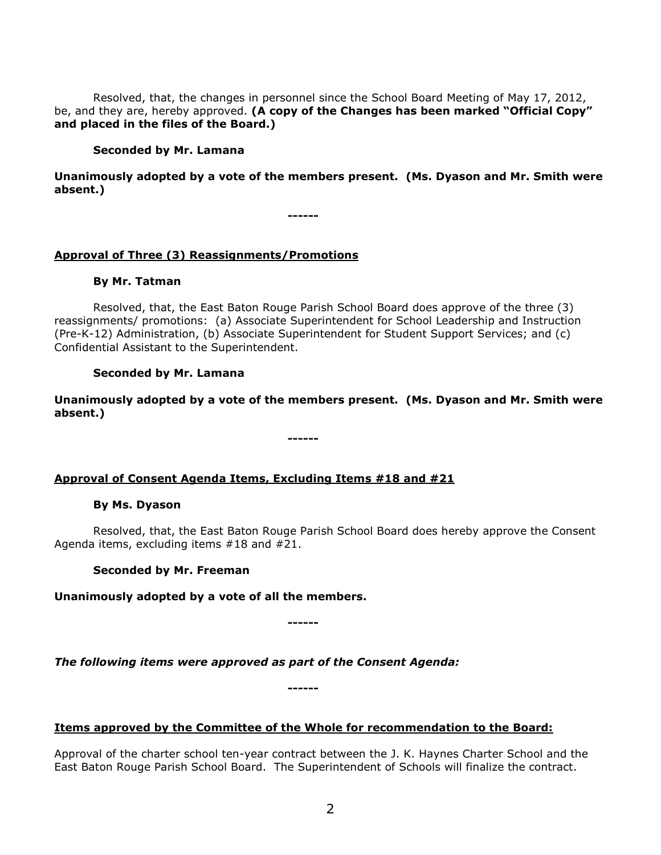Resolved, that, the changes in personnel since the School Board Meeting of May 17, 2012, be, and they are, hereby approved. **(A copy of the Changes has been marked "Official Copy" and placed in the files of the Board.)**

#### **Seconded by Mr. Lamana**

**Unanimously adopted by a vote of the members present. (Ms. Dyason and Mr. Smith were absent.)**

**------**

## **Approval of Three (3) Reassignments/Promotions**

#### **By Mr. Tatman**

Resolved, that, the East Baton Rouge Parish School Board does approve of the three (3) reassignments/ promotions: (a) Associate Superintendent for School Leadership and Instruction (Pre-K-12) Administration, (b) Associate Superintendent for Student Support Services; and (c) Confidential Assistant to the Superintendent.

## **Seconded by Mr. Lamana**

**Unanimously adopted by a vote of the members present. (Ms. Dyason and Mr. Smith were absent.)**

**------**

## **Approval of Consent Agenda Items, Excluding Items #18 and #21**

#### **By Ms. Dyason**

Resolved, that, the East Baton Rouge Parish School Board does hereby approve the Consent Agenda items, excluding items #18 and #21.

## **Seconded by Mr. Freeman**

## **Unanimously adopted by a vote of all the members.**

**------**

*The following items were approved as part of the Consent Agenda:*

**------**

## **Items approved by the Committee of the Whole for recommendation to the Board:**

Approval of the charter school ten-year contract between the J. K. Haynes Charter School and the East Baton Rouge Parish School Board. The Superintendent of Schools will finalize the contract.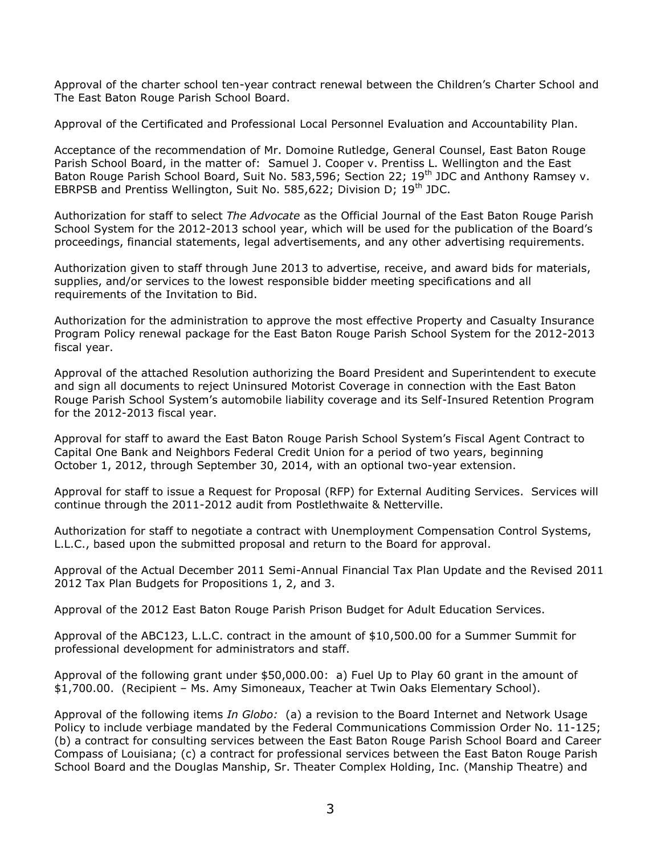Approval of the charter school ten-year contract renewal between the Children's Charter School and The East Baton Rouge Parish School Board.

Approval of the Certificated and Professional Local Personnel Evaluation and Accountability Plan.

Acceptance of the recommendation of Mr. Domoine Rutledge, General Counsel, East Baton Rouge Parish School Board, in the matter of: Samuel J. Cooper v. Prentiss L. Wellington and the East Baton Rouge Parish School Board, Suit No. 583,596; Section 22; 19<sup>th</sup> JDC and Anthony Ramsey v. EBRPSB and Prentiss Wellington, Suit No. 585,622; Division D; 19<sup>th</sup> JDC.

Authorization for staff to select *The Advocate* as the Official Journal of the East Baton Rouge Parish School System for the 2012-2013 school year, which will be used for the publication of the Board's proceedings, financial statements, legal advertisements, and any other advertising requirements.

Authorization given to staff through June 2013 to advertise, receive, and award bids for materials, supplies, and/or services to the lowest responsible bidder meeting specifications and all requirements of the Invitation to Bid.

Authorization for the administration to approve the most effective Property and Casualty Insurance Program Policy renewal package for the East Baton Rouge Parish School System for the 2012-2013 fiscal year.

Approval of the attached Resolution authorizing the Board President and Superintendent to execute and sign all documents to reject Uninsured Motorist Coverage in connection with the East Baton Rouge Parish School System's automobile liability coverage and its Self-Insured Retention Program for the 2012-2013 fiscal year.

Approval for staff to award the East Baton Rouge Parish School System's Fiscal Agent Contract to Capital One Bank and Neighbors Federal Credit Union for a period of two years, beginning October 1, 2012, through September 30, 2014, with an optional two-year extension.

Approval for staff to issue a Request for Proposal (RFP) for External Auditing Services. Services will continue through the 2011-2012 audit from Postlethwaite & Netterville.

Authorization for staff to negotiate a contract with Unemployment Compensation Control Systems, L.L.C., based upon the submitted proposal and return to the Board for approval.

Approval of the Actual December 2011 Semi-Annual Financial Tax Plan Update and the Revised 2011 2012 Tax Plan Budgets for Propositions 1, 2, and 3.

Approval of the 2012 East Baton Rouge Parish Prison Budget for Adult Education Services.

Approval of the ABC123, L.L.C. contract in the amount of \$10,500.00 for a Summer Summit for professional development for administrators and staff.

Approval of the following grant under \$50,000.00: a) Fuel Up to Play 60 grant in the amount of \$1,700.00. (Recipient – Ms. Amy Simoneaux, Teacher at Twin Oaks Elementary School).

Approval of the following items *In Globo:* (a) a revision to the Board Internet and Network Usage Policy to include verbiage mandated by the Federal Communications Commission Order No. 11-125; (b) a contract for consulting services between the East Baton Rouge Parish School Board and Career Compass of Louisiana; (c) a contract for professional services between the East Baton Rouge Parish School Board and the Douglas Manship, Sr. Theater Complex Holding, Inc. (Manship Theatre) and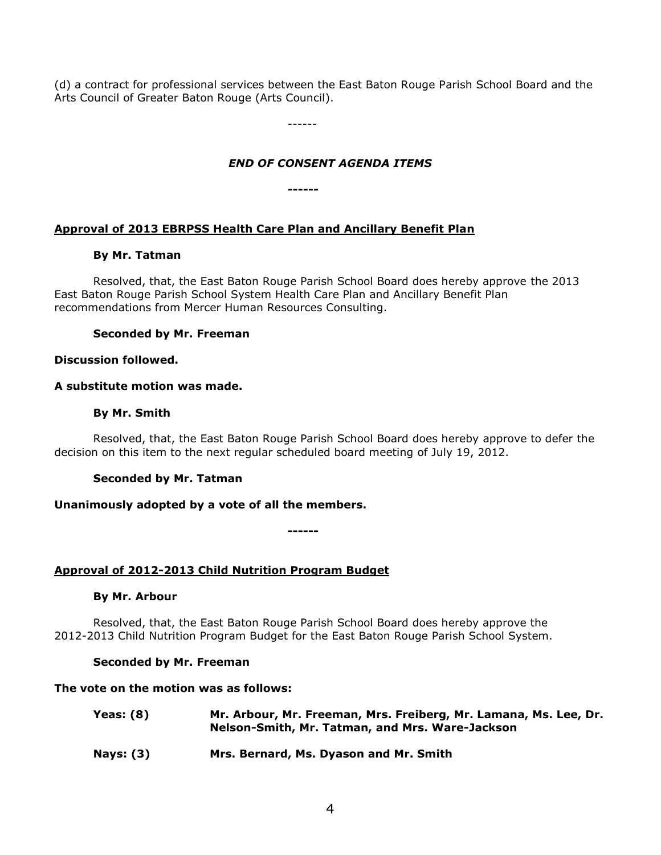(d) a contract for professional services between the East Baton Rouge Parish School Board and the Arts Council of Greater Baton Rouge (Arts Council).

------

# *END OF CONSENT AGENDA ITEMS*

**------**

# **Approval of 2013 EBRPSS Health Care Plan and Ancillary Benefit Plan**

# **By Mr. Tatman**

Resolved, that, the East Baton Rouge Parish School Board does hereby approve the 2013 East Baton Rouge Parish School System Health Care Plan and Ancillary Benefit Plan recommendations from Mercer Human Resources Consulting.

# **Seconded by Mr. Freeman**

# **Discussion followed.**

# **A substitute motion was made.**

# **By Mr. Smith**

Resolved, that, the East Baton Rouge Parish School Board does hereby approve to defer the decision on this item to the next regular scheduled board meeting of July 19, 2012.

# **Seconded by Mr. Tatman**

# **Unanimously adopted by a vote of all the members.**

**------**

# **Approval of 2012-2013 Child Nutrition Program Budget**

# **By Mr. Arbour**

Resolved, that, the East Baton Rouge Parish School Board does hereby approve the 2012-2013 Child Nutrition Program Budget for the East Baton Rouge Parish School System.

# **Seconded by Mr. Freeman**

# **The vote on the motion was as follows:**

| Yeas: (8) | Mr. Arbour, Mr. Freeman, Mrs. Freiberg, Mr. Lamana, Ms. Lee, Dr.<br>Nelson-Smith, Mr. Tatman, and Mrs. Ware-Jackson |
|-----------|---------------------------------------------------------------------------------------------------------------------|
|           |                                                                                                                     |

**Nays: (3) Mrs. Bernard, Ms. Dyason and Mr. Smith**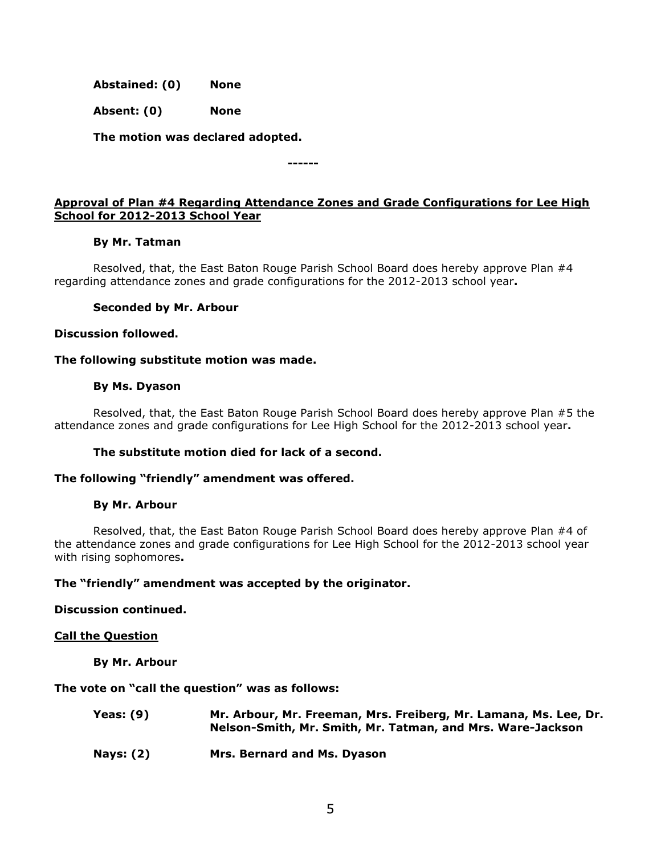**Abstained: (0) None**

**Absent: (0) None**

**The motion was declared adopted.**

**------**

# **Approval of Plan #4 Regarding Attendance Zones and Grade Configurations for Lee High School for 2012-2013 School Year**

## **By Mr. Tatman**

Resolved, that, the East Baton Rouge Parish School Board does hereby approve Plan #4 regarding attendance zones and grade configurations for the 2012-2013 school year**.** 

## **Seconded by Mr. Arbour**

**Discussion followed.**

## **The following substitute motion was made.**

## **By Ms. Dyason**

Resolved, that, the East Baton Rouge Parish School Board does hereby approve Plan #5 the attendance zones and grade configurations for Lee High School for the 2012-2013 school year**.** 

# **The substitute motion died for lack of a second.**

## **The following "friendly" amendment was offered.**

## **By Mr. Arbour**

Resolved, that, the East Baton Rouge Parish School Board does hereby approve Plan #4 of the attendance zones and grade configurations for Lee High School for the 2012-2013 school year with rising sophomores**.** 

## **The "friendly" amendment was accepted by the originator.**

## **Discussion continued.**

## **Call the Question**

**By Mr. Arbour**

## **The vote on "call the question" was as follows:**

| Yeas: (9) | Mr. Arbour, Mr. Freeman, Mrs. Freiberg, Mr. Lamana, Ms. Lee, Dr. |
|-----------|------------------------------------------------------------------|
|           | Nelson-Smith, Mr. Smith, Mr. Tatman, and Mrs. Ware-Jackson       |
|           |                                                                  |

**Nays: (2) Mrs. Bernard and Ms. Dyason**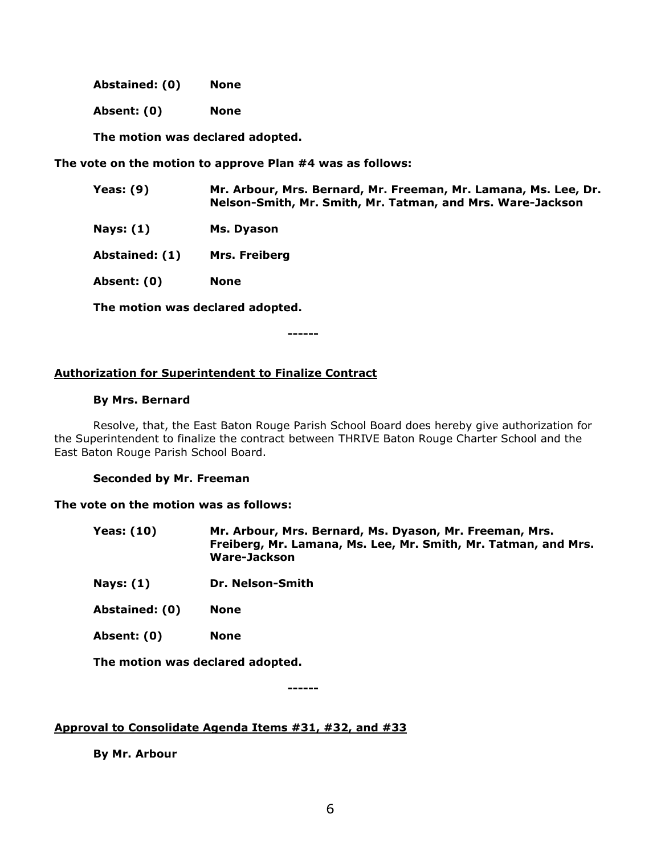**Abstained: (0) None**

**Absent: (0) None**

**The motion was declared adopted.**

**The vote on the motion to approve Plan #4 was as follows:**

| Yeas: (9) | Mr. Arbour, Mrs. Bernard, Mr. Freeman, Mr. Lamana, Ms. Lee, Dr. |
|-----------|-----------------------------------------------------------------|
|           | Nelson-Smith, Mr. Smith, Mr. Tatman, and Mrs. Ware-Jackson      |

- **Nays: (1) Ms. Dyason**
- **Abstained: (1) Mrs. Freiberg**
- **Absent: (0) None**

**The motion was declared adopted.**

**------**

## **Authorization for Superintendent to Finalize Contract**

#### **By Mrs. Bernard**

Resolve, that, the East Baton Rouge Parish School Board does hereby give authorization for the Superintendent to finalize the contract between THRIVE Baton Rouge Charter School and the East Baton Rouge Parish School Board.

#### **Seconded by Mr. Freeman**

#### **The vote on the motion was as follows:**

- **Yeas: (10) Mr. Arbour, Mrs. Bernard, Ms. Dyason, Mr. Freeman, Mrs. Freiberg, Mr. Lamana, Ms. Lee, Mr. Smith, Mr. Tatman, and Mrs. Ware-Jackson**
- **Nays: (1) Dr. Nelson-Smith**
- **Abstained: (0) None**
- **Absent: (0) None**

**The motion was declared adopted.**

**------**

## **Approval to Consolidate Agenda Items #31, #32, and #33**

**By Mr. Arbour**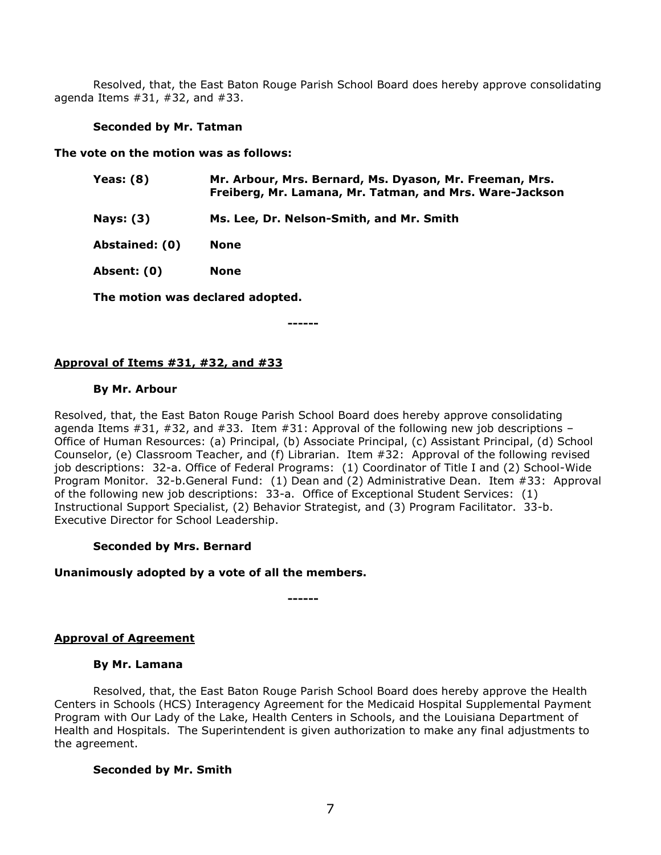Resolved, that, the East Baton Rouge Parish School Board does hereby approve consolidating agenda Items #31, #32, and #33.

#### **Seconded by Mr. Tatman**

**The vote on the motion was as follows:**

| Yeas: (8)      | Mr. Arbour, Mrs. Bernard, Ms. Dyason, Mr. Freeman, Mrs.<br>Freiberg, Mr. Lamana, Mr. Tatman, and Mrs. Ware-Jackson |
|----------------|--------------------------------------------------------------------------------------------------------------------|
| Nays: (3)      | Ms. Lee, Dr. Nelson-Smith, and Mr. Smith                                                                           |
| Abstained: (0) | None                                                                                                               |

**Absent: (0) None**

**The motion was declared adopted.**

**------**

# **Approval of Items #31, #32, and #33**

## **By Mr. Arbour**

Resolved, that, the East Baton Rouge Parish School Board does hereby approve consolidating agenda Items  $\#31$ ,  $\#32$ , and  $\#33$ . Item  $\#31$ : Approval of the following new job descriptions – Office of Human Resources: (a) Principal, (b) Associate Principal, (c) Assistant Principal, (d) School Counselor, (e) Classroom Teacher, and (f) Librarian. Item #32: Approval of the following revised job descriptions: 32-a. Office of Federal Programs: (1) Coordinator of Title I and (2) School-Wide Program Monitor. 32-b.General Fund: (1) Dean and (2) Administrative Dean. Item #33: Approval of the following new job descriptions: 33-a. Office of Exceptional Student Services: (1) Instructional Support Specialist, (2) Behavior Strategist, and (3) Program Facilitator. 33-b. Executive Director for School Leadership.

# **Seconded by Mrs. Bernard**

## **Unanimously adopted by a vote of all the members.**

**------**

# **Approval of Agreement**

## **By Mr. Lamana**

Resolved, that, the East Baton Rouge Parish School Board does hereby approve the Health Centers in Schools (HCS) Interagency Agreement for the Medicaid Hospital Supplemental Payment Program with Our Lady of the Lake, Health Centers in Schools, and the Louisiana Department of Health and Hospitals. The Superintendent is given authorization to make any final adjustments to the agreement.

## **Seconded by Mr. Smith**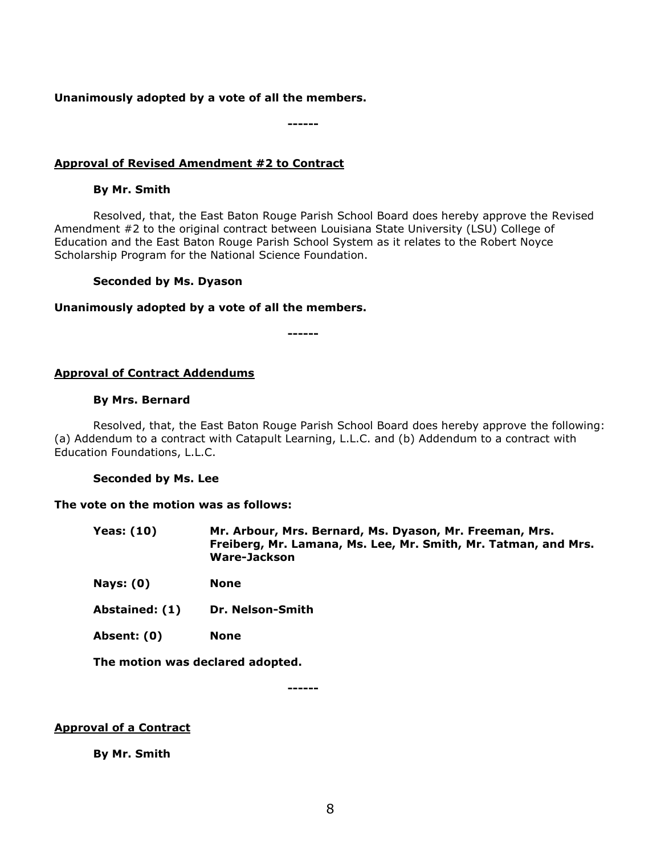#### **Unanimously adopted by a vote of all the members.**

**------**

## **Approval of Revised Amendment #2 to Contract**

## **By Mr. Smith**

Resolved, that, the East Baton Rouge Parish School Board does hereby approve the Revised Amendment #2 to the original contract between Louisiana State University (LSU) College of Education and the East Baton Rouge Parish School System as it relates to the Robert Noyce Scholarship Program for the National Science Foundation.

#### **Seconded by Ms. Dyason**

#### **Unanimously adopted by a vote of all the members.**

**------**

## **Approval of Contract Addendums**

#### **By Mrs. Bernard**

Resolved, that, the East Baton Rouge Parish School Board does hereby approve the following: (a) Addendum to a contract with Catapult Learning, L.L.C. and (b) Addendum to a contract with Education Foundations, L.L.C.

#### **Seconded by Ms. Lee**

#### **The vote on the motion was as follows:**

| Yeas: (10) | Mr. Arbour, Mrs. Bernard, Ms. Dyason, Mr. Freeman, Mrs.        |
|------------|----------------------------------------------------------------|
|            | Freiberg, Mr. Lamana, Ms. Lee, Mr. Smith, Mr. Tatman, and Mrs. |
|            | Ware-Jackson                                                   |

**Nays: (0) None**

**Abstained: (1) Dr. Nelson-Smith**

**Absent: (0) None**

**The motion was declared adopted.**

**------**

## **Approval of a Contract**

**By Mr. Smith**